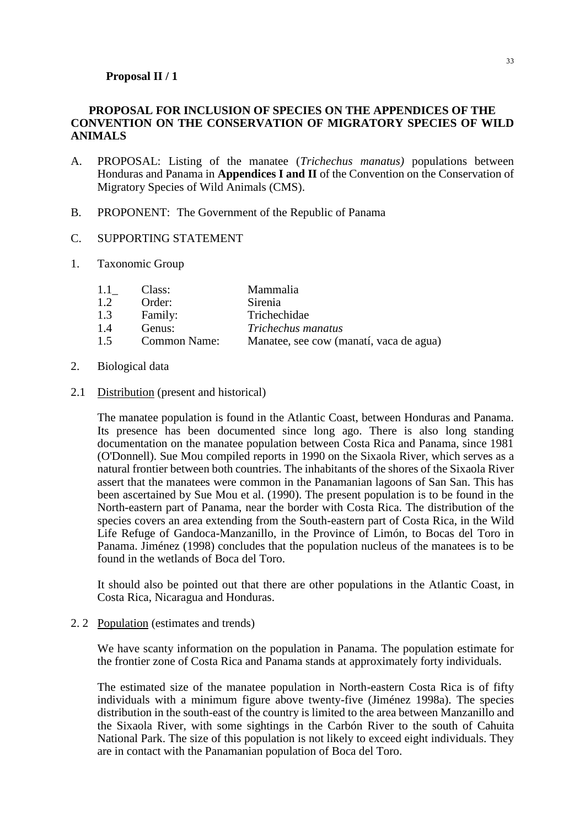## **PROPOSAL FOR INCLUSION OF SPECIES ON THE APPENDICES OF THE CONVENTION ON THE CONSERVATION OF MIGRATORY SPECIES OF WILD ANIMALS**

- A. PROPOSAL: Listing of the manatee (*Trichechus manatus)* populations between Honduras and Panama in **Appendices I and II** of the Convention on the Conservation of Migratory Species of Wild Animals (CMS).
- B. PROPONENT: The Government of the Republic of Panama
- C. SUPPORTING STATEMENT
- 1. Taxonomic Group

| $1.1 -$ | Class:              | Mammalia                                |
|---------|---------------------|-----------------------------------------|
| 1.2     | Order:              | Sirenia                                 |
| 1.3     | Family:             | Trichechidae                            |
| 1.4     | Genus:              | Trichechus manatus                      |
| 1.5     | <b>Common Name:</b> | Manatee, see cow (manatí, vaca de agua) |

- 2. Biological data
- 2.1 Distribution (present and historical)

The manatee population is found in the Atlantic Coast, between Honduras and Panama. Its presence has been documented since long ago. There is also long standing documentation on the manatee population between Costa Rica and Panama, since 1981 (O'Donnell). Sue Mou compiled reports in 1990 on the Sixaola River, which serves as a natural frontier between both countries. The inhabitants of the shores of the Sixaola River assert that the manatees were common in the Panamanian lagoons of San San. This has been ascertained by Sue Mou et al. (1990). The present population is to be found in the North-eastern part of Panama, near the border with Costa Rica. The distribution of the species covers an area extending from the South-eastern part of Costa Rica, in the Wild Life Refuge of Gandoca-Manzanillo, in the Province of Limón, to Bocas del Toro in Panama. Jiménez (1998) concludes that the population nucleus of the manatees is to be found in the wetlands of Boca del Toro.

It should also be pointed out that there are other populations in the Atlantic Coast, in Costa Rica, Nicaragua and Honduras.

## 2. 2 Population (estimates and trends)

We have scanty information on the population in Panama. The population estimate for the frontier zone of Costa Rica and Panama stands at approximately forty individuals.

The estimated size of the manatee population in North-eastern Costa Rica is of fifty individuals with a minimum figure above twenty-five (Jiménez 1998a). The species distribution in the south-east of the country is limited to the area between Manzanillo and the Sixaola River, with some sightings in the Carbón River to the south of Cahuita National Park. The size of this population is not likely to exceed eight individuals. They are in contact with the Panamanian population of Boca del Toro.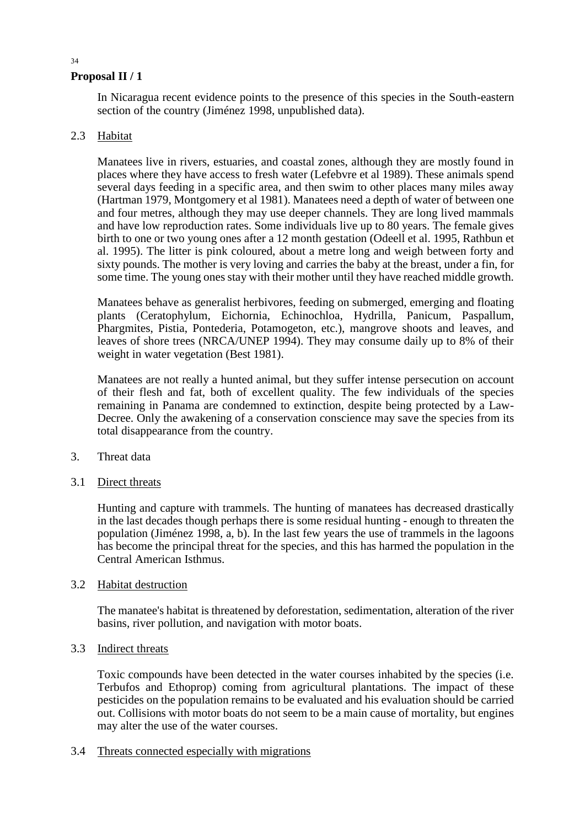In Nicaragua recent evidence points to the presence of this species in the South-eastern section of the country (Jiménez 1998, unpublished data).

# 2.3 Habitat

Manatees live in rivers, estuaries, and coastal zones, although they are mostly found in places where they have access to fresh water (Lefebvre et al 1989). These animals spend several days feeding in a specific area, and then swim to other places many miles away (Hartman 1979, Montgomery et al 1981). Manatees need a depth of water of between one and four metres, although they may use deeper channels. They are long lived mammals and have low reproduction rates. Some individuals live up to 80 years. The female gives birth to one or two young ones after a 12 month gestation (Odeell et al. 1995, Rathbun et al. 1995). The litter is pink coloured, about a metre long and weigh between forty and sixty pounds. The mother is very loving and carries the baby at the breast, under a fin, for some time. The young ones stay with their mother until they have reached middle growth.

Manatees behave as generalist herbivores, feeding on submerged, emerging and floating plants (Ceratophylum, Eichornia, Echinochloa, Hydrilla, Panicum, Paspallum, Phargmites, Pistia, Pontederia, Potamogeton, etc.), mangrove shoots and leaves, and leaves of shore trees (NRCA/UNEP 1994). They may consume daily up to 8% of their weight in water vegetation (Best 1981).

Manatees are not really a hunted animal, but they suffer intense persecution on account of their flesh and fat, both of excellent quality. The few individuals of the species remaining in Panama are condemned to extinction, despite being protected by a Law-Decree. Only the awakening of a conservation conscience may save the species from its total disappearance from the country.

- 3. Threat data
- 3.1 Direct threats

Hunting and capture with trammels. The hunting of manatees has decreased drastically in the last decades though perhaps there is some residual hunting - enough to threaten the population (Jiménez 1998, a, b). In the last few years the use of trammels in the lagoons has become the principal threat for the species, and this has harmed the population in the Central American Isthmus.

# 3.2 Habitat destruction

The manatee's habitat is threatened by deforestation, sedimentation, alteration of the river basins, river pollution, and navigation with motor boats.

# 3.3 Indirect threats

Toxic compounds have been detected in the water courses inhabited by the species (i.e. Terbufos and Ethoprop) coming from agricultural plantations. The impact of these pesticides on the population remains to be evaluated and his evaluation should be carried out. Collisions with motor boats do not seem to be a main cause of mortality, but engines may alter the use of the water courses.

3.4 Threats connected especially with migrations

#### 34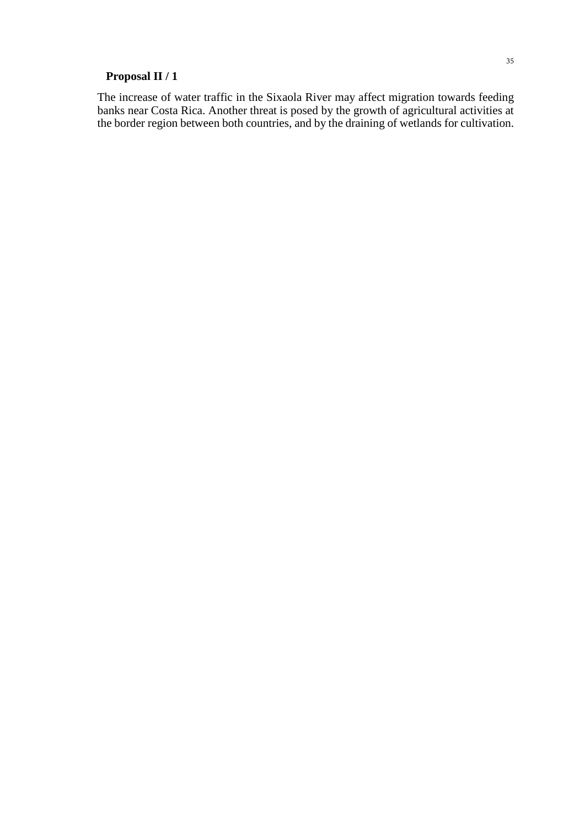The increase of water traffic in the Sixaola River may affect migration towards feeding banks near Costa Rica. Another threat is posed by the growth of agricultural activities at the border region between both countries, and by the draining of wetlands for cultivation.